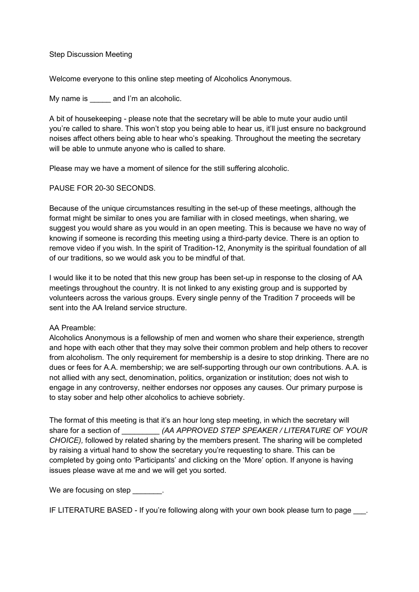Step Discussion Meeting

Welcome everyone to this online step meeting of Alcoholics Anonymous.

My name is eand I'm an alcoholic.

A bit of housekeeping - please note that the secretary will be able to mute your audio until you're called to share. This won't stop you being able to hear us, it'll just ensure no background noises affect others being able to hear who's speaking. Throughout the meeting the secretary will be able to unmute anyone who is called to share.

Please may we have a moment of silence for the still suffering alcoholic.

PAUSE FOR 20-30 SECONDS.

Because of the unique circumstances resulting in the set-up of these meetings, although the format might be similar to ones you are familiar with in closed meetings, when sharing, we suggest you would share as you would in an open meeting. This is because we have no way of knowing if someone is recording this meeting using a third-party device. There is an option to remove video if you wish. In the spirit of Tradition-12, Anonymity is the spiritual foundation of all of our traditions, so we would ask you to be mindful of that.

I would like it to be noted that this new group has been set-up in response to the closing of AA meetings throughout the country. It is not linked to any existing group and is supported by volunteers across the various groups. Every single penny of the Tradition 7 proceeds will be sent into the AA Ireland service structure.

## AA Preamble:

Alcoholics Anonymous is a fellowship of men and women who share their experience, strength and hope with each other that they may solve their common problem and help others to recover from alcoholism. The only requirement for membership is a desire to stop drinking. There are no dues or fees for A.A. membership; we are self-supporting through our own contributions. A.A. is not allied with any sect, denomination, politics, organization or institution; does not wish to engage in any controversy, neither endorses nor opposes any causes. Our primary purpose is to stay sober and help other alcoholics to achieve sobriety.

The format of this meeting is that it's an hour long step meeting, in which the secretary will share for a section of  $(AA \, APPROVED \, STEP \, SPEAKER / LITERATURE \, OF \, YOUR$ CHOICE), followed by related sharing by the members present. The sharing will be completed by raising a virtual hand to show the secretary you're requesting to share. This can be completed by going onto 'Participants' and clicking on the 'More' option. If anyone is having issues please wave at me and we will get you sorted.

We are focusing on step  $\qquad \qquad$ .

IF LITERATURE BASED - If you're following along with your own book please turn to page ...